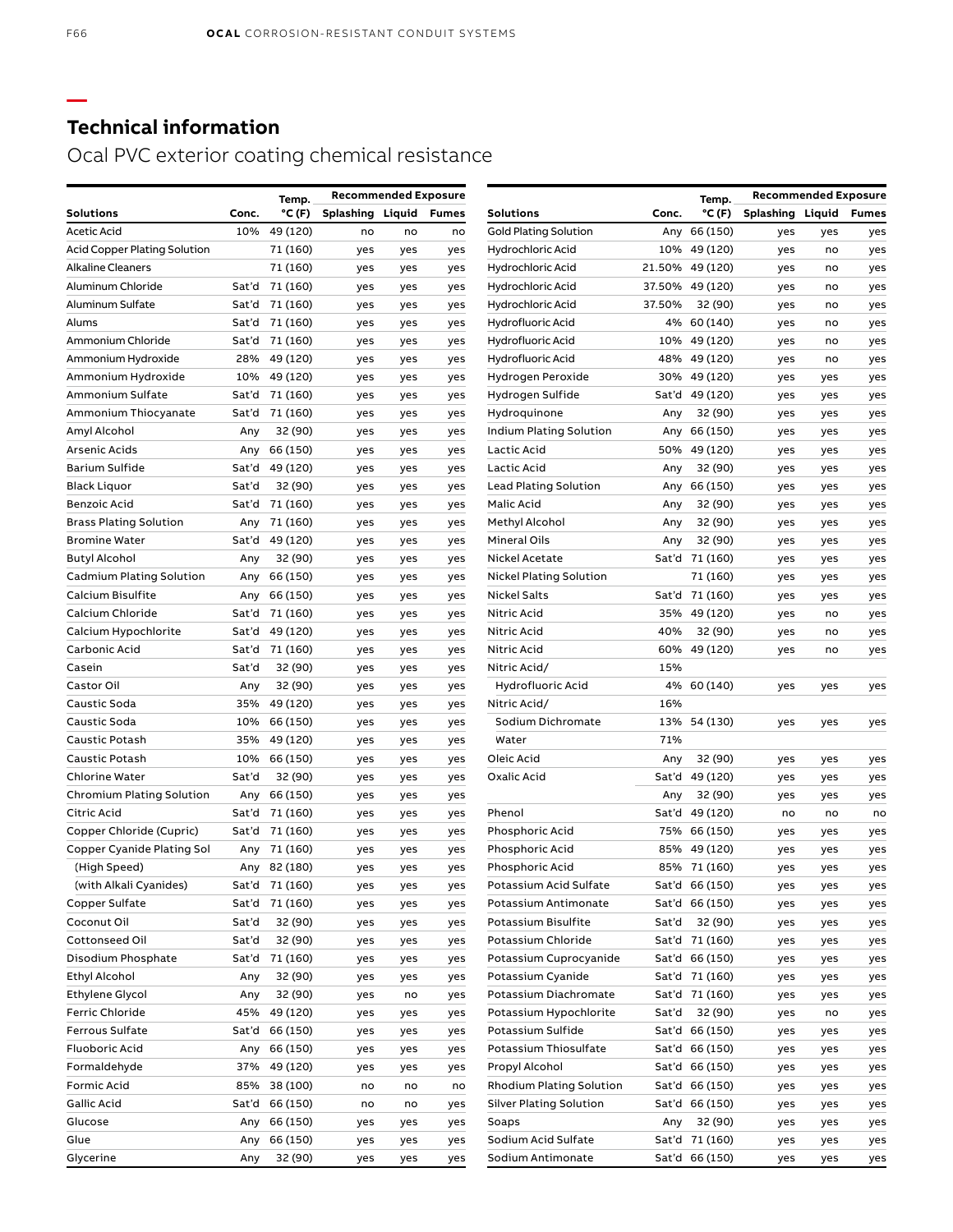# Ocal PVC exterior coating chemical resistance

|                                  |       | Temp.          | <b>Recommended Exposure</b> |        |              |                                 |        | Temp.           | <b>Recommended Exposure</b> |     |              |  |
|----------------------------------|-------|----------------|-----------------------------|--------|--------------|---------------------------------|--------|-----------------|-----------------------------|-----|--------------|--|
| Solutions                        | Conc. | °C (F)         | <b>Splashing</b>            | Liquid | <b>Fumes</b> | Solutions                       | Conc.  | °C (F)          | Splashing Liquid            |     | <b>Fumes</b> |  |
| <b>Acetic Acid</b>               | 10%   | 49 (120)       | no                          | no     | no           | <b>Gold Plating Solution</b>    |        | Any 66 (150)    | yes                         | yes | yes          |  |
| Acid Copper Plating Solution     |       | 71 (160)       | yes                         | yes    | yes          | Hydrochloric Acid               |        | 10% 49 (120)    | yes                         | no  | yes          |  |
| Alkaline Cleaners                |       | 71 (160)       | yes                         | yes    | yes          | Hydrochloric Acid               |        | 21.50% 49 (120) | yes                         | no  | yes          |  |
| Aluminum Chloride                | Sat'd | 71 (160)       | yes                         | yes    | yes          | Hydrochloric Acid               | 37.50% | 49 (120)        | yes                         | no  | yes          |  |
| Aluminum Sulfate                 | Sat'd | 71 (160)       | yes                         | yes    | yes          | Hydrochloric Acid               | 37.50% | 32 (90)         | yes                         | no  | yes          |  |
| Alums                            | Sat'd | 71 (160)       | yes                         | yes    | yes          | Hydrofluoric Acid               |        | 4% 60 (140)     | yes                         | no  | yes          |  |
| Ammonium Chloride                | Sat'd | 71 (160)       | yes                         | yes    | yes          | Hydrofluoric Acid               |        | 10% 49 (120)    | yes                         | no  | yes          |  |
| Ammonium Hydroxide               | 28%   | 49 (120)       | yes                         | yes    | yes          | Hydrofluoric Acid               |        | 48% 49 (120)    | yes                         | no  | yes          |  |
| Ammonium Hydroxide               | 10%   | 49 (120)       | yes                         | yes    | yes          | Hydrogen Peroxide               | 30%    | 49 (120)        | yes                         | yes | yes          |  |
| Ammonium Sulfate                 | Sat'd | 71 (160)       | yes                         | yes    | yes          | Hydrogen Sulfide                | Sat'd  | 49 (120)        | yes                         | yes | yes          |  |
| Ammonium Thiocyanate             | Sat'd | 71 (160)       | yes                         | yes    | yes          | Hydroquinone                    | Any    | 32 (90)         | yes                         | yes | yes          |  |
| Amyl Alcohol                     | Any   | 32 (90)        | yes                         | yes    | yes          | Indium Plating Solution         |        | Any 66 (150)    | yes                         | yes | yes          |  |
| Arsenic Acids                    | Any   | 66 (150)       | yes                         | yes    | yes          | Lactic Acid                     |        | 50% 49 (120)    | yes                         | yes | yes          |  |
| Barium Sulfide                   | Sat'd | 49 (120)       | yes                         | yes    | yes          | Lactic Acid                     | Any    | 32 (90)         | yes                         | yes | yes          |  |
| Black Liquor                     | Sat'd | 32 (90)        | yes                         | yes    | yes          | <b>Lead Plating Solution</b>    | Any    | 66 (150)        | yes                         | yes | yes          |  |
| <b>Benzoic Acid</b>              | Sat'd | 71 (160)       | yes                         | yes    | yes          | Malic Acid                      | Any    | 32 (90)         | yes                         | yes | yes          |  |
| <b>Brass Plating Solution</b>    | Any   | 71 (160)       | yes                         | yes    | yes          | Methyl Alcohol                  | Any    | 32 (90)         | yes                         | yes | yes          |  |
| <b>Bromine Water</b>             | Sat'd | 49 (120)       | yes                         | yes    | yes          | <b>Mineral Oils</b>             | Any    | 32 (90)         | yes                         | yes | yes          |  |
| <b>Butyl Alcohol</b>             | Any   | 32 (90)        | yes                         | yes    | yes          | Nickel Acetate                  |        | Sat'd 71 (160)  | yes                         | yes | yes          |  |
| Cadmium Plating Solution         | Any   | 66 (150)       | yes                         | yes    | yes          | Nickel Plating Solution         |        | 71 (160)        | yes                         | yes | yes          |  |
| Calcium Bisulfite                | Any   | 66 (150)       | yes                         | yes    | yes          | <b>Nickel Salts</b>             |        | Sat'd 71 (160)  | yes                         | yes | yes          |  |
| Calcium Chloride                 | Sat'd | 71 (160)       | yes                         | yes    | yes          | Nitric Acid                     |        | 35% 49 (120)    | yes                         | no  | yes          |  |
| Calcium Hypochlorite             | Sat'd | 49 (120)       | yes                         | yes    | yes          | Nitric Acid                     | 40%    | 32 (90)         | yes                         | no  | yes          |  |
| Carbonic Acid                    |       | Sat'd 71 (160) | yes                         | yes    | yes          | Nitric Acid                     |        | 60% 49 (120)    | yes                         | no  | yes          |  |
| Casein                           | Sat'd | 32 (90)        | yes                         | yes    | yes          | Nitric Acid/                    | 15%    |                 |                             |     |              |  |
| Castor Oil                       | Any   | 32 (90)        | yes                         | yes    | yes          | Hydrofluoric Acid               |        | 4% 60 (140)     | yes                         | yes | yes          |  |
| Caustic Soda                     | 35%   | 49 (120)       | yes                         | yes    | yes          | Nitric Acid/                    | 16%    |                 |                             |     |              |  |
| Caustic Soda                     | 10%   | 66 (150)       | yes                         | yes    | yes          | Sodium Dichromate               |        | 13% 54 (130)    | yes                         | yes | yes          |  |
| Caustic Potash                   | 35%   | 49 (120)       | yes                         | yes    | yes          | Water                           | 71%    |                 |                             |     |              |  |
| Caustic Potash                   | 10%   | 66 (150)       | yes                         | yes    | yes          | Oleic Acid                      | Any    | 32 (90)         | yes                         | yes | yes          |  |
| <b>Chlorine Water</b>            | Sat'd | 32 (90)        | yes                         | yes    | yes          | Oxalic Acid                     |        | Sat'd 49 (120)  | yes                         | yes | yes          |  |
| <b>Chromium Plating Solution</b> | Any   | 66 (150)       | yes                         | yes    | yes          |                                 | Any    | 32 (90)         | yes                         | yes | yes          |  |
| Citric Acid                      | Sat'd | 71 (160)       | yes                         | yes    | yes          | Phenol                          |        | Sat'd 49 (120)  | no                          | no  | no           |  |
| Copper Chloride (Cupric)         | Sat'd | 71 (160)       | yes                         | yes    | yes          | Phosphoric Acid                 |        | 75% 66 (150)    | yes                         | yes | yes          |  |
| Copper Cyanide Plating Sol       | Any   | 71 (160)       | yes                         | yes    | yes          | Phosphoric Acid                 |        | 85% 49 (120)    | yes                         | yes | yes          |  |
| (High Speed)                     |       | Any 82 (180)   | yes                         | yes    | yes          | Phosphoric Acid                 |        | 85% 71 (160)    | yes                         | yes | yes          |  |
| (with Alkali Cyanides)           |       | Sat'd 71 (160) | yes                         | yes    | yes          | Potassium Acid Sulfate          |        | Sat'd 66 (150)  | yes                         | yes | yes          |  |
| Copper Sulfate                   | Sat'd | 71 (160)       | yes                         | yes    | yes          | Potassium Antimonate            |        | Sat'd 66 (150)  | yes                         | yes | yes          |  |
| Coconut Oil                      | Sat'd | 32 (90)        | yes                         | yes    | yes          | Potassium Bisulfite             | Sat'd  | 32 (90)         | yes                         | yes | yes          |  |
| Cottonseed Oil                   | Sat'd | 32 (90)        | yes                         | yes    | yes          | Potassium Chloride              |        | Sat'd 71 (160)  | yes                         | yes | yes          |  |
| Disodium Phosphate               | Sat'd | 71 (160)       | yes                         | yes    | yes          | Potassium Cuprocyanide          |        | Sat'd 66 (150)  | yes                         | yes | yes          |  |
| Ethyl Alcohol                    | Any   | 32 (90)        | yes                         | yes    | yes          | Potassium Cyanide               |        | Sat'd 71 (160)  | yes                         | yes | yes          |  |
| Ethylene Glycol                  | Any   | 32 (90)        | yes                         | no     | yes          | Potassium Diachromate           |        | Sat'd 71 (160)  | yes                         | yes | yes          |  |
| Ferric Chloride                  | 45%   | 49 (120)       | yes                         | yes    | yes          | Potassium Hypochlorite          | Sat'd  | 32 (90)         | yes                         | no  | yes          |  |
| <b>Ferrous Sulfate</b>           | Sat'd | 66 (150)       | yes                         | yes    | yes          | Potassium Sulfide               |        | Sat'd 66 (150)  | yes                         | yes | yes          |  |
| Fluoboric Acid                   | Any   | 66 (150)       | yes                         | yes    | yes          | Potassium Thiosulfate           |        | Sat'd 66 (150)  | yes                         | yes | yes          |  |
| Formaldehyde                     | 37%   | 49 (120)       | yes                         | yes    | yes          | Propyl Alcohol                  |        | Sat'd 66 (150)  | yes                         | yes | yes          |  |
| Formic Acid                      | 85%   | 38 (100)       | no                          | no     | no           | <b>Rhodium Plating Solution</b> |        | Sat'd 66 (150)  | yes                         | yes | yes          |  |
| <b>Gallic Acid</b>               | Sat'd | 66 (150)       | no                          | no     | yes          | <b>Silver Plating Solution</b>  |        | Sat'd 66 (150)  | yes                         | yes | yes          |  |
| Glucose                          | Any   | 66 (150)       | yes                         | yes    | yes          | Soaps                           | Any    | 32 (90)         | yes                         | yes | yes          |  |
| Glue                             | Any   | 66 (150)       | yes                         | yes    | yes          | Sodium Acid Sulfate             |        | Sat'd 71 (160)  | yes                         | yes | yes          |  |
| Glycerine                        | Any   | 32 (90)        | yes                         | yes    | yes          | Sodium Antimonate               |        | Sat'd 66 (150)  | yes                         | yes | yes          |  |

**—**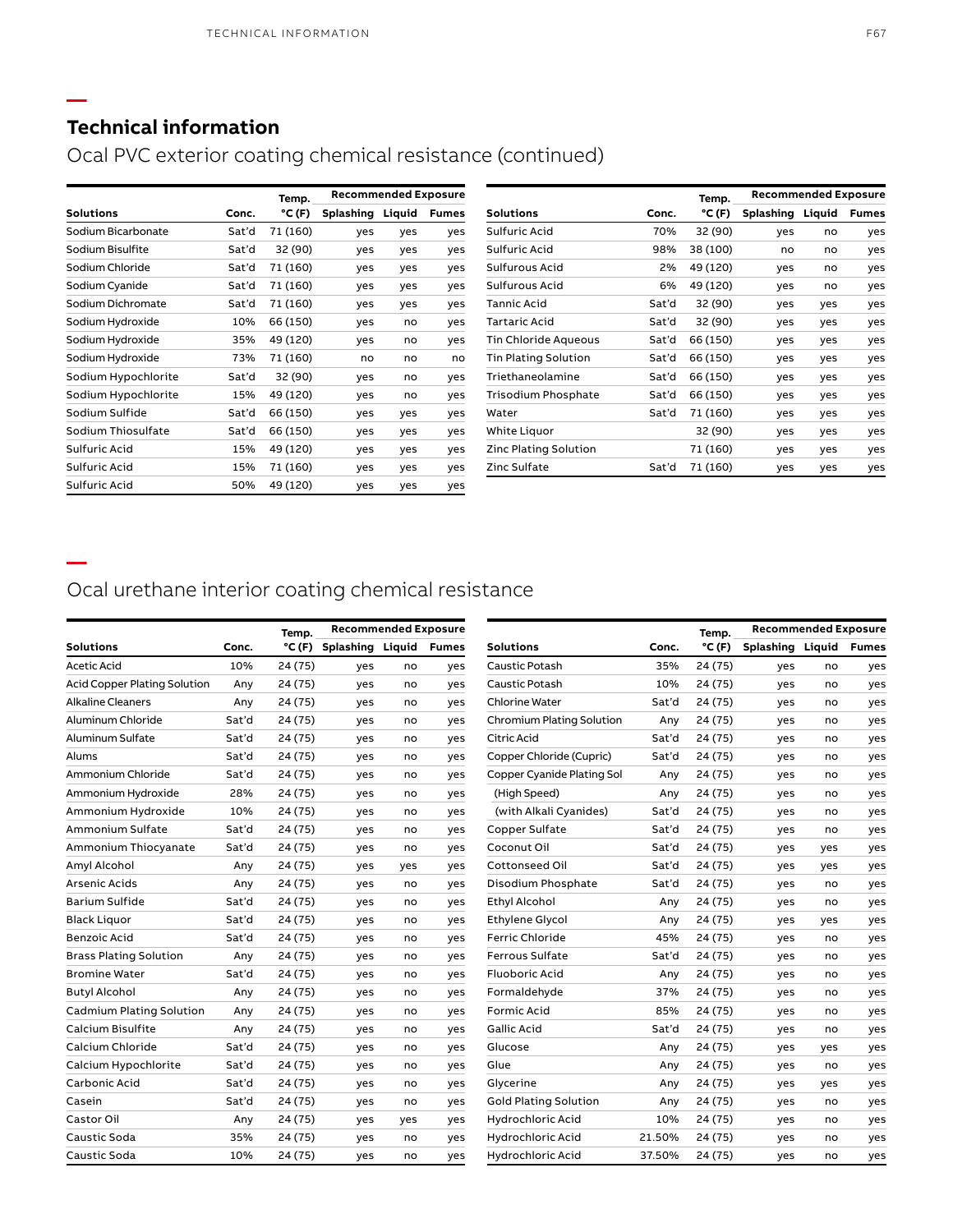**—**

**—**

# Ocal PVC exterior coating chemical resistance (continued)

|                     |       | Temp.    | <b>Recommended Exposure</b> |        |              |         |  |
|---------------------|-------|----------|-----------------------------|--------|--------------|---------|--|
| <b>Solutions</b>    | Conc. | °C (F)   | Splashing                   | Liquid | <b>Fumes</b> | Soluti  |  |
| Sodium Bicarbonate  | Sat'd | 71 (160) | yes                         | yes    | yes          | Sulfuri |  |
| Sodium Bisulfite    | Sat'd | 32 (90)  | yes                         | yes    | yes          | Sulfuri |  |
| Sodium Chloride     | Sat'd | 71 (160) | yes                         | yes    | yes          | Sulfure |  |
| Sodium Cyanide      | Sat'd | 71 (160) | yes                         | yes    | yes          | Sulfure |  |
| Sodium Dichromate   | Sat'd | 71 (160) | yes                         | yes    | yes          | Tannic  |  |
| Sodium Hydroxide    | 10%   | 66 (150) | yes                         | no     | yes          | Tartar  |  |
| Sodium Hydroxide    | 35%   | 49 (120) | yes                         | no     | yes          | Tin Ch  |  |
| Sodium Hydroxide    | 73%   | 71 (160) | no                          | no     | no           | Tin Pla |  |
| Sodium Hypochlorite | Sat'd | 32 (90)  | yes                         | no     | yes          | Trietha |  |
| Sodium Hypochlorite | 15%   | 49 (120) | yes                         | no     | yes          | Trisod  |  |
| Sodium Sulfide      | Sat'd | 66 (150) | yes                         | yes    | yes          | Water   |  |
| Sodium Thiosulfate  | Sat'd | 66 (150) | yes                         | yes    | yes          | White   |  |
| Sulfuric Acid       | 15%   | 49 (120) | yes                         | yes    | yes          | Zinc Pl |  |
| Sulfuric Acid       | 15%   | 71 (160) | yes                         | yes    | yes          | Zinc Sı |  |
| Sulfuric Acid       | 50%   | 49 (120) | yes                         | yes    | yes          |         |  |

|                       |       | Temp.    | <b>Recommended Exposure</b> |        |              |  |  |
|-----------------------|-------|----------|-----------------------------|--------|--------------|--|--|
| <b>Solutions</b>      | Conc. | °C (F)   | Splashing                   | Liguid | <b>Fumes</b> |  |  |
| Sulfuric Acid         | 70%   | 32 (90)  | yes                         | no     | yes          |  |  |
| Sulfuric Acid         | 98%   | 38 (100) | no                          | no     | yes          |  |  |
| Sulfurous Acid        | 2%    | 49 (120) | yes                         | no     | yes          |  |  |
| Sulfurous Acid        | 6%    | 49 (120) | yes                         | no     | yes          |  |  |
| Tannic Acid           | Sat'd | 32 (90)  | yes                         | yes    | yes          |  |  |
| Tartaric Acid         | Sat'd | 32 (90)  | yes                         | yes    | yes          |  |  |
| Tin Chloride Aqueous  | Sat'd | 66 (150) | yes                         | yes    | yes          |  |  |
| Tin Plating Solution  | Sat'd | 66 (150) | ves                         | ves    | yes          |  |  |
| Triethaneolamine      | Sat'd | 66 (150) | yes                         | yes    | yes          |  |  |
| Trisodium Phosphate   | Sat'd | 66 (150) | yes                         | yes    | yes          |  |  |
| Water                 | Sat'd | 71 (160) | ves                         | yes    | yes          |  |  |
| White Liquor          |       | 32 (90)  | yes                         | yes    | yes          |  |  |
| Zinc Plating Solution |       | 71 (160) | yes                         | yes    | yes          |  |  |
| Zinc Sulfate          | Sat'd | 71 (160) | ves                         | yes    | yes          |  |  |

# Ocal urethane interior coating chemical resistance

|                                     |       | Temp.            | <b>Recommended Exposure</b> |     |              |                                  |        | Temp.   | <b>Recommended Exposure</b> |     |              |
|-------------------------------------|-------|------------------|-----------------------------|-----|--------------|----------------------------------|--------|---------|-----------------------------|-----|--------------|
| <b>Solutions</b>                    | Conc. | $^{\circ}$ C (F) | Splashing Liquid            |     | <b>Fumes</b> | <b>Solutions</b>                 | Conc.  | °C(F)   | Splashing Liquid            |     | <b>Fumes</b> |
| Acetic Acid                         | 10%   | 24 (75)          | yes                         | no  | yes          | Caustic Potash                   | 35%    | 24 (75) | yes                         | no  | yes          |
| <b>Acid Copper Plating Solution</b> | Any   | 24 (75)          | ves                         | no  | yes          | Caustic Potash                   | 10%    | 24 (75) | yes                         | no  | yes          |
| <b>Alkaline Cleaners</b>            | Any   | 24 (75)          | yes                         | no  | yes          | Chlorine Water                   | Sat'd  | 24 (75) | yes                         | no  | yes          |
| Aluminum Chloride                   | Sat'd | 24 (75)          | yes                         | no  | yes          | <b>Chromium Plating Solution</b> | Any    | 24 (75) | yes                         | no  | yes          |
| Aluminum Sulfate                    | Sat'd | 24 (75)          | yes                         | no  | yes          | Citric Acid                      | Sat'd  | 24 (75) | yes                         | no  | yes          |
| Alums                               | Sat'd | 24 (75)          | yes                         | no  | yes          | Copper Chloride (Cupric)         | Sat'd  | 24 (75) | yes                         | no  | yes          |
| Ammonium Chloride                   | Sat'd | 24 (75)          | yes                         | no  | yes          | Copper Cyanide Plating Sol       | Any    | 24 (75) | yes                         | no  | yes          |
| Ammonium Hydroxide                  | 28%   | 24 (75)          | ves                         | no  | yes          | (High Speed)                     | Any    | 24 (75) | yes                         | no  | yes          |
| Ammonium Hydroxide                  | 10%   | 24 (75)          | yes                         | no  | yes          | (with Alkali Cyanides)           | Sat'd  | 24 (75) | yes                         | no  | yes          |
| Ammonium Sulfate                    | Sat'd | 24 (75)          | yes                         | no  | yes          | Copper Sulfate                   | Sat'd  | 24 (75) | yes                         | no  | yes          |
| Ammonium Thiocyanate                | Sat'd | 24 (75)          | ves                         | no  | yes          | Coconut Oil                      | Sat'd  | 24 (75) | yes                         | yes | yes          |
| Amyl Alcohol                        | Any   | 24 (75)          | yes                         | yes | yes          | Cottonseed Oil                   | Sat'd  | 24 (75) | yes                         | yes | yes          |
| Arsenic Acids                       | Any   | 24 (75)          | yes                         | no  | yes          | Disodium Phosphate               | Sat'd  | 24 (75) | yes                         | no  | yes          |
| <b>Barium Sulfide</b>               | Sat'd | 24 (75)          | yes                         | no  | yes          | <b>Ethyl Alcohol</b>             | Any    | 24 (75) | yes                         | no  | yes          |
| <b>Black Liquor</b>                 | Sat'd | 24 (75)          | ves                         | no  | yes          | <b>Ethylene Glycol</b>           | Any    | 24 (75) | yes                         | yes | yes          |
| Benzoic Acid                        | Sat'd | 24 (75)          | yes                         | no  | yes          | Ferric Chloride                  | 45%    | 24 (75) | yes                         | no  | yes          |
| <b>Brass Plating Solution</b>       | Any   | 24 (75)          | yes                         | no  | yes          | <b>Ferrous Sulfate</b>           | Sat'd  | 24 (75) | yes                         | no  | yes          |
| <b>Bromine Water</b>                | Sat'd | 24 (75)          | yes                         | no  | yes          | Fluoboric Acid                   | Any    | 24 (75) | yes                         | no  | yes          |
| <b>Butyl Alcohol</b>                | Any   | 24 (75)          | yes                         | no  | yes          | Formaldehyde                     | 37%    | 24 (75) | yes                         | no  | yes          |
| <b>Cadmium Plating Solution</b>     | Any   | 24 (75)          | yes                         | no  | yes          | <b>Formic Acid</b>               | 85%    | 24 (75) | yes                         | no  | yes          |
| Calcium Bisulfite                   | Any   | 24 (75)          | yes                         | no  | yes          | <b>Gallic Acid</b>               | Sat'd  | 24 (75) | yes                         | no  | yes          |
| Calcium Chloride                    | Sat'd | 24 (75)          | ves                         | no  | yes          | Glucose                          | Any    | 24 (75) | yes                         | yes | yes          |
| Calcium Hypochlorite                | Sat'd | 24 (75)          | yes                         | no  | yes          | Glue                             | Any    | 24 (75) | yes                         | no  | yes          |
| Carbonic Acid                       | Sat'd | 24 (75)          | yes                         | no  | yes          | Glycerine                        | Any    | 24 (75) | yes                         | yes | yes          |
| Casein                              | Sat'd | 24 (75)          | yes                         | no  | yes          | <b>Gold Plating Solution</b>     | Any    | 24 (75) | yes                         | no  | yes          |
| Castor Oil                          | Any   | 24 (75)          | yes                         | yes | yes          | Hydrochloric Acid                | 10%    | 24 (75) | yes                         | no  | yes          |
| Caustic Soda                        | 35%   | 24 (75)          | ves                         | no  | yes          | Hydrochloric Acid                | 21.50% | 24 (75) | yes                         | no  | yes          |
| Caustic Soda                        | 10%   | 24 (75)          | yes                         | no  | yes          | Hydrochloric Acid                | 37.50% | 24 (75) | yes                         | no  | yes          |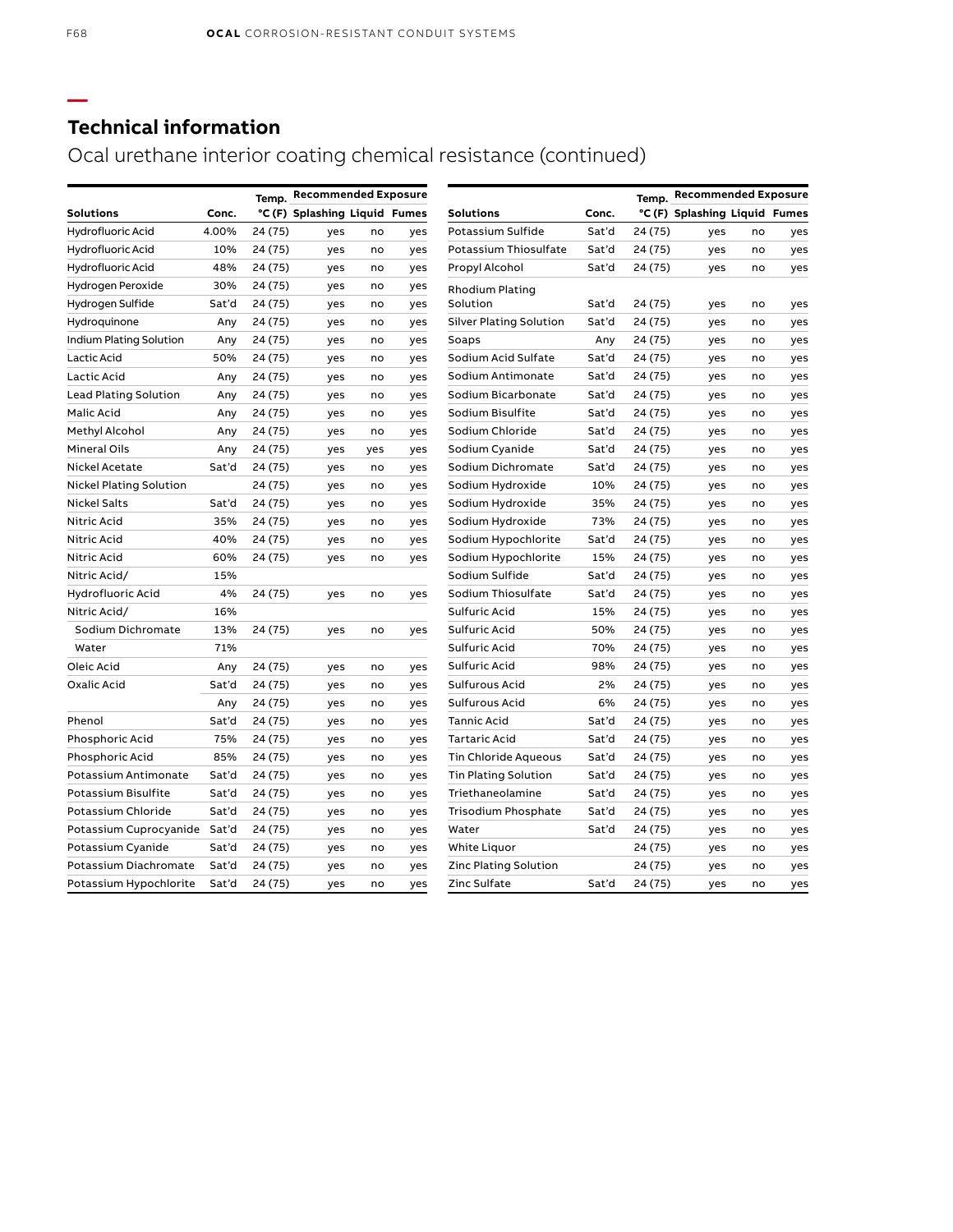Ocal urethane interior coating chemical resistance (continued)

|                                |       | Temp.   | <b>Recommended Exposure</b>   |     |     |                                |       | Temp.   | <b>Recommended Exposure</b>   |    |     |
|--------------------------------|-------|---------|-------------------------------|-----|-----|--------------------------------|-------|---------|-------------------------------|----|-----|
| <b>Solutions</b>               | Conc. |         | °C (F) Splashing Liquid Fumes |     |     | <b>Solutions</b>               | Conc. |         | °C (F) Splashing Liquid Fumes |    |     |
| Hydrofluoric Acid              | 4.00% | 24 (75) | yes                           | no  | yes | Potassium Sulfide              | Sat'd | 24 (75) | yes                           | no | yes |
| Hydrofluoric Acid              | 10%   | 24 (75) | yes                           | no  | yes | Potassium Thiosulfate          | Sat'd | 24 (75) | yes                           | no | yes |
| Hydrofluoric Acid              | 48%   | 24 (75) | yes                           | no  | yes | Propyl Alcohol                 | Sat'd | 24 (75) | yes                           | no | yes |
| Hydrogen Peroxide              | 30%   | 24 (75) | yes                           | no  | yes | <b>Rhodium Plating</b>         |       |         |                               |    |     |
| Hydrogen Sulfide               | Sat'd | 24 (75) | yes                           | no  | yes | Solution                       | Sat'd | 24 (75) | yes                           | no | yes |
| Hydroquinone                   | Any   | 24 (75) | yes                           | no  | yes | <b>Silver Plating Solution</b> | Sat'd | 24 (75) | yes                           | no | yes |
| Indium Plating Solution        | Any   | 24 (75) | yes                           | no  | yes | Soaps                          | Any   | 24 (75) | yes                           | no | yes |
| Lactic Acid                    | 50%   | 24 (75) | yes                           | no  | yes | Sodium Acid Sulfate            | Sat'd | 24 (75) | yes                           | no | yes |
| Lactic Acid                    | Any   | 24 (75) | yes                           | no  | yes | Sodium Antimonate              | Sat'd | 24 (75) | yes                           | no | yes |
| <b>Lead Plating Solution</b>   | Any   | 24 (75) | yes                           | no  | yes | Sodium Bicarbonate             | Sat'd | 24 (75) | yes                           | no | yes |
| Malic Acid                     | Any   | 24 (75) | yes                           | no  | ves | Sodium Bisulfite               | Sat'd | 24 (75) | yes                           | no | yes |
| Methyl Alcohol                 | Any   | 24 (75) | yes                           | no  | yes | Sodium Chloride                | Sat'd | 24 (75) | yes                           | no | yes |
| <b>Mineral Oils</b>            | Any   | 24 (75) | yes                           | yes | yes | Sodium Cyanide                 | Sat'd | 24 (75) | yes                           | no | yes |
| Nickel Acetate                 | Sat'd | 24 (75) | yes                           | no  | yes | Sodium Dichromate              | Sat'd | 24 (75) | yes                           | no | yes |
| <b>Nickel Plating Solution</b> |       | 24 (75) | yes                           | no  | yes | Sodium Hydroxide               | 10%   | 24 (75) | yes                           | no | yes |
| Nickel Salts                   | Sat'd | 24 (75) | yes                           | no  | yes | Sodium Hydroxide               | 35%   | 24 (75) | yes                           | no | yes |
| Nitric Acid                    | 35%   | 24 (75) | yes                           | no  | yes | Sodium Hydroxide               | 73%   | 24 (75) | yes                           | no | yes |
| Nitric Acid                    | 40%   | 24 (75) | yes                           | no  | yes | Sodium Hypochlorite            | Sat'd | 24 (75) | yes                           | no | yes |
| Nitric Acid                    | 60%   | 24 (75) | yes                           | no  | yes | Sodium Hypochlorite            | 15%   | 24 (75) | yes                           | no | yes |
| Nitric Acid/                   | 15%   |         |                               |     |     | Sodium Sulfide                 | Sat'd | 24 (75) | yes                           | no | yes |
| Hydrofluoric Acid              | 4%    | 24 (75) | yes                           | no  | yes | Sodium Thiosulfate             | Sat'd | 24 (75) | yes                           | no | yes |
| Nitric Acid/                   | 16%   |         |                               |     |     | Sulfuric Acid                  | 15%   | 24 (75) | yes                           | no | yes |
| Sodium Dichromate              | 13%   | 24 (75) | yes                           | no  | yes | Sulfuric Acid                  | 50%   | 24 (75) | yes                           | no | yes |
| Water                          | 71%   |         |                               |     |     | Sulfuric Acid                  | 70%   | 24 (75) | yes                           | no | yes |
| Oleic Acid                     | Any   | 24 (75) | yes                           | no  | yes | Sulfuric Acid                  | 98%   | 24 (75) | yes                           | no | yes |
| Oxalic Acid                    | Sat'd | 24 (75) | yes                           | no  | yes | Sulfurous Acid                 | 2%    | 24 (75) | yes                           | no | yes |
|                                | Any   | 24 (75) | yes                           | no  | yes | Sulfurous Acid                 | 6%    | 24 (75) | yes                           | no | yes |
| Phenol                         | Sat'd | 24 (75) | yes                           | no  | yes | Tannic Acid                    | Sat'd | 24 (75) | yes                           | no | yes |
| Phosphoric Acid                | 75%   | 24 (75) | yes                           | no  | yes | <b>Tartaric Acid</b>           | Sat'd | 24 (75) | yes                           | no | yes |
| Phosphoric Acid                | 85%   | 24 (75) | yes                           | no  | yes | <b>Tin Chloride Aqueous</b>    | Sat'd | 24 (75) | yes                           | no | yes |
| Potassium Antimonate           | Sat'd | 24 (75) | yes                           | no  | yes | <b>Tin Plating Solution</b>    | Sat'd | 24 (75) | yes                           | no | yes |
| Potassium Bisulfite            | Sat'd | 24 (75) | yes                           | no  | yes | Triethaneolamine               | Sat'd | 24 (75) | yes                           | no | yes |
| Potassium Chloride             | Sat'd | 24 (75) | yes                           | no  | yes | Trisodium Phosphate            | Sat'd | 24 (75) | yes                           | no | yes |
| Potassium Cuprocyanide Sat'd   |       | 24 (75) | yes                           | no  | yes | Water                          | Sat'd | 24 (75) | yes                           | no | yes |
| Potassium Cyanide              | Sat'd | 24 (75) | yes                           | no  | yes | White Liquor                   |       | 24 (75) | yes                           | no | yes |
| Potassium Diachromate          | Sat'd | 24 (75) | yes                           | no  | yes | <b>Zinc Plating Solution</b>   |       | 24 (75) | yes                           | no | yes |
| Potassium Hypochlorite         | Sat'd | 24 (75) | ves                           | no  | yes | Zinc Sulfate                   | Sat'd | 24 (75) | yes                           | no | yes |

**—**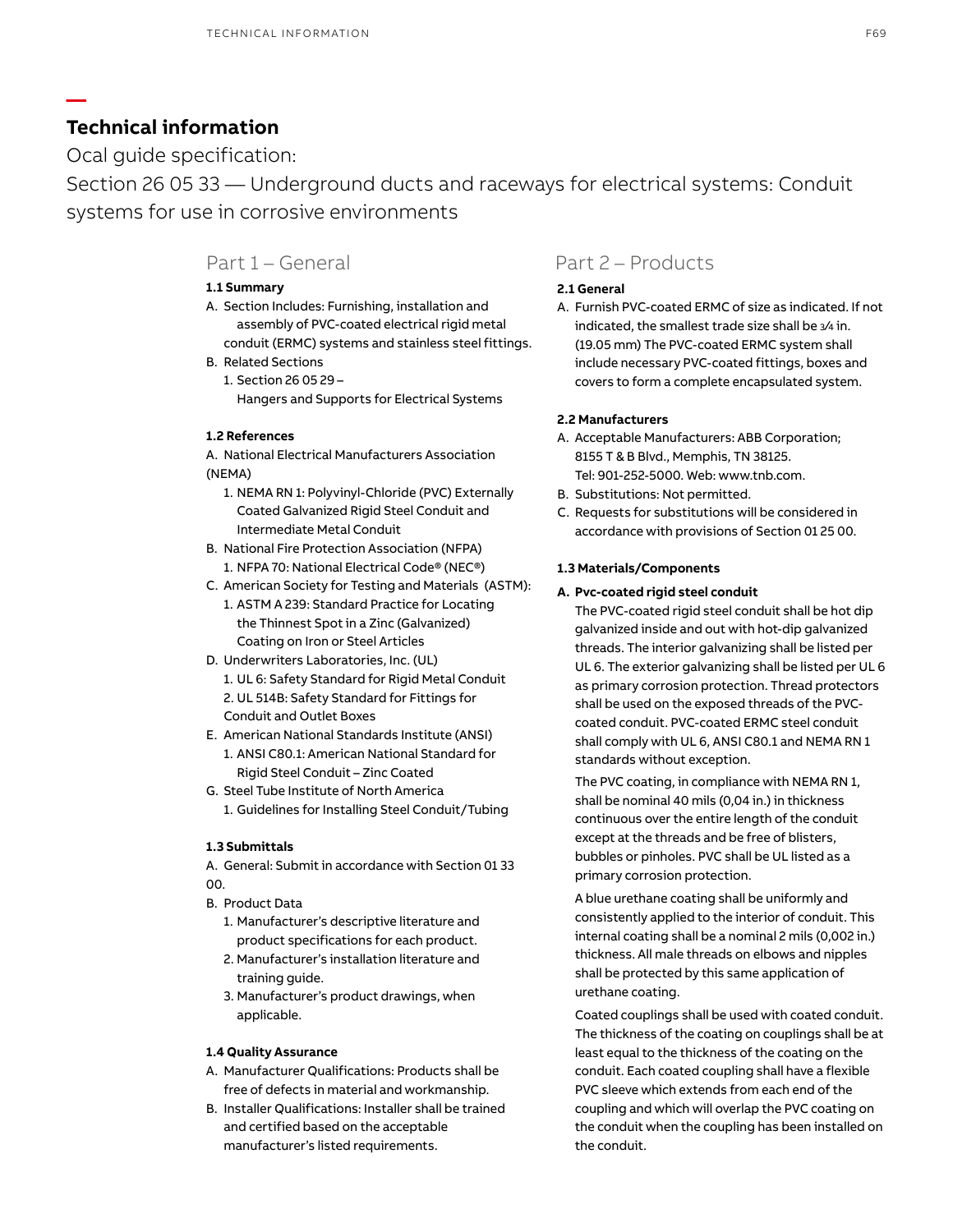**—**

Ocal guide specification:

Section 26 05 33 — Underground ducts and raceways for electrical systems: Conduit systems for use in corrosive environments

## **1.1 Summary**

- A. Section Includes: Furnishing, installation and assembly of PVC-coated electrical rigid metal conduit (ERMC) systems and stainless steel fittings.
- B. Related Sections 1. Section 26 05 29 – Hangers and Supports for Electrical Systems

## **1.2 References**

A. National Electrical Manufacturers Association (NEMA)

- 1. NEMA RN 1: Polyvinyl-Chloride (PVC) Externally Coated Galvanized Rigid Steel Conduit and Intermediate Metal Conduit
- B. National Fire Protection Association (NFPA) 1. NFPA 70: National Electrical Code® (NEC®)
- C. American Society for Testing and Materials (ASTM): 1. ASTM A 239: Standard Practice for Locating the Thinnest Spot in a Zinc (Galvanized) Coating on Iron or Steel Articles
- D. Underwriters Laboratories, Inc. (UL) 1. UL 6: Safety Standard for Rigid Metal Conduit 2. UL 514B: Safety Standard for Fittings for Conduit and Outlet Boxes
- E. American National Standards Institute (ANSI) 1. ANSI C80.1: American National Standard for Rigid Steel Conduit – Zinc Coated
- G. Steel Tube Institute of North America 1. Guidelines for Installing Steel Conduit/Tubing

## **1.3 Submittals**

A. General: Submit in accordance with Section 01 33  $0<sub>0</sub>$ 

- B. Product Data
	- 1. Manufacturer's descriptive literature and product specifications for each product.
	- 2. Manufacturer's installation literature and training guide.
	- 3. Manufacturer's product drawings, when applicable.

## **1.4 Quality Assurance**

- A. Manufacturer Qualifications: Products shall be free of defects in material and workmanship.
- B. Installer Qualifications: Installer shall be trained and certified based on the acceptable manufacturer's listed requirements.

# Part 1 – General Part 2 – Products

## **2.1 General**

A. Furnish PVC-coated ERMC of size as indicated. If not indicated, the smallest trade size shall be 3⁄4 in. (19.05 mm) The PVC-coated ERMC system shall include necessary PVC-coated fittings, boxes and covers to form a complete encapsulated system.

## **2.2 Manufacturers**

- A. Acceptable Manufacturers: ABB Corporation; 8155 T & B Blvd., Memphis, TN 38125. Tel: 901-252-5000. Web: www.tnb.com.
- B. Substitutions: Not permitted.
- C. Requests for substitutions will be considered in accordance with provisions of Section 01 25 00.

## **1.3 Materials/Components**

## **A. Pvc-coated rigid steel conduit**

The PVC-coated rigid steel conduit shall be hot dip galvanized inside and out with hot-dip galvanized threads. The interior galvanizing shall be listed per UL 6. The exterior galvanizing shall be listed per UL 6 as primary corrosion protection. Thread protectors shall be used on the exposed threads of the PVCcoated conduit. PVC-coated ERMC steel conduit shall comply with UL 6, ANSI C80.1 and NEMA RN 1 standards without exception.

The PVC coating, in compliance with NEMA RN 1, shall be nominal 40 mils (0,04 in.) in thickness continuous over the entire length of the conduit except at the threads and be free of blisters, bubbles or pinholes. PVC shall be UL listed as a primary corrosion protection.

A blue urethane coating shall be uniformly and consistently applied to the interior of conduit. This internal coating shall be a nominal 2 mils (0,002 in.) thickness. All male threads on elbows and nipples shall be protected by this same application of urethane coating.

Coated couplings shall be used with coated conduit. The thickness of the coating on couplings shall be at least equal to the thickness of the coating on the conduit. Each coated coupling shall have a flexible PVC sleeve which extends from each end of the coupling and which will overlap the PVC coating on the conduit when the coupling has been installed on the conduit.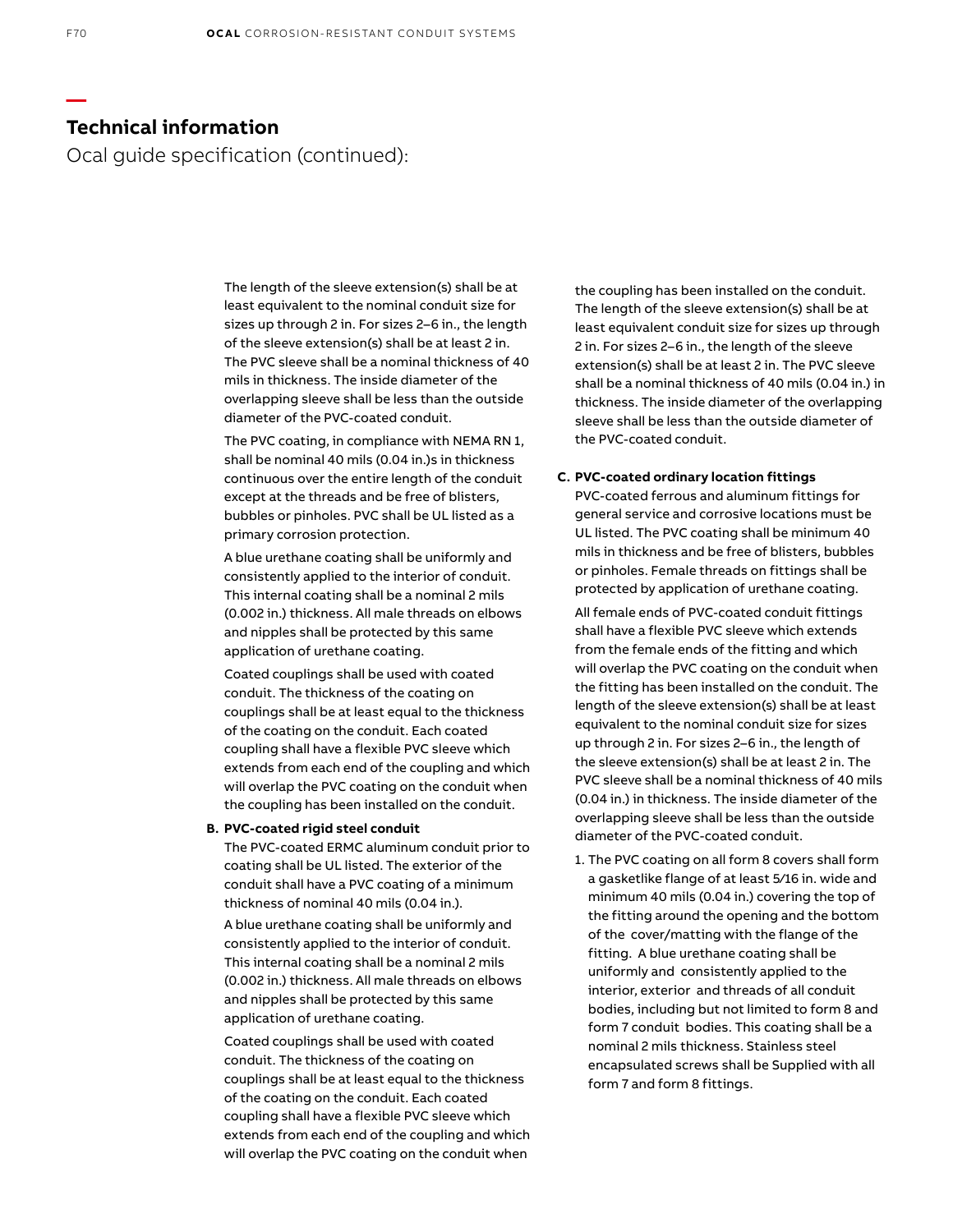Ocal guide specification (continued):

 The length of the sleeve extension(s) shall be at least equivalent to the nominal conduit size for sizes up through 2 in. For sizes 2–6 in., the length of the sleeve extension(s) shall be at least 2 in. The PVC sleeve shall be a nominal thickness of 40 mils in thickness. The inside diameter of the overlapping sleeve shall be less than the outside diameter of the PVC-coated conduit.

The PVC coating, in compliance with NEMA RN 1, shall be nominal 40 mils (0.04 in.)s in thickness continuous over the entire length of the conduit except at the threads and be free of blisters, bubbles or pinholes. PVC shall be UL listed as a primary corrosion protection.

A blue urethane coating shall be uniformly and consistently applied to the interior of conduit. This internal coating shall be a nominal 2 mils (0.002 in.) thickness. All male threads on elbows and nipples shall be protected by this same application of urethane coating.

Coated couplings shall be used with coated conduit. The thickness of the coating on couplings shall be at least equal to the thickness of the coating on the conduit. Each coated coupling shall have a flexible PVC sleeve which extends from each end of the coupling and which will overlap the PVC coating on the conduit when the coupling has been installed on the conduit.

#### **B. PVC-coated rigid steel conduit**

The PVC-coated ERMC aluminum conduit prior to coating shall be UL listed. The exterior of the conduit shall have a PVC coating of a minimum thickness of nominal 40 mils (0.04 in.).

A blue urethane coating shall be uniformly and consistently applied to the interior of conduit. This internal coating shall be a nominal 2 mils (0.002 in.) thickness. All male threads on elbows and nipples shall be protected by this same application of urethane coating.

Coated couplings shall be used with coated conduit. The thickness of the coating on couplings shall be at least equal to the thickness of the coating on the conduit. Each coated coupling shall have a flexible PVC sleeve which extends from each end of the coupling and which will overlap the PVC coating on the conduit when

the coupling has been installed on the conduit. The length of the sleeve extension(s) shall be at least equivalent conduit size for sizes up through 2 in. For sizes 2–6 in., the length of the sleeve extension(s) shall be at least 2 in. The PVC sleeve shall be a nominal thickness of 40 mils (0.04 in.) in thickness. The inside diameter of the overlapping sleeve shall be less than the outside diameter of the PVC-coated conduit.

#### **C. PVC-coated ordinary location fittings**

PVC-coated ferrous and aluminum fittings for general service and corrosive locations must be UL listed. The PVC coating shall be minimum 40 mils in thickness and be free of blisters, bubbles or pinholes. Female threads on fittings shall be protected by application of urethane coating.

All female ends of PVC-coated conduit fittings shall have a flexible PVC sleeve which extends from the female ends of the fitting and which will overlap the PVC coating on the conduit when the fitting has been installed on the conduit. The length of the sleeve extension(s) shall be at least equivalent to the nominal conduit size for sizes up through 2 in. For sizes 2–6 in., the length of the sleeve extension(s) shall be at least 2 in. The PVC sleeve shall be a nominal thickness of 40 mils (0.04 in.) in thickness. The inside diameter of the overlapping sleeve shall be less than the outside diameter of the PVC-coated conduit.

1. The PVC coating on all form 8 covers shall form a gasketlike flange of at least 5⁄16 in. wide and minimum 40 mils (0.04 in.) covering the top of the fitting around the opening and the bottom of the cover/matting with the flange of the fitting. A blue urethane coating shall be uniformly and consistently applied to the interior, exterior and threads of all conduit bodies, including but not limited to form 8 and form 7 conduit bodies. This coating shall be a nominal 2 mils thickness. Stainless steel encapsulated screws shall be Supplied with all form 7 and form 8 fittings.

**—**